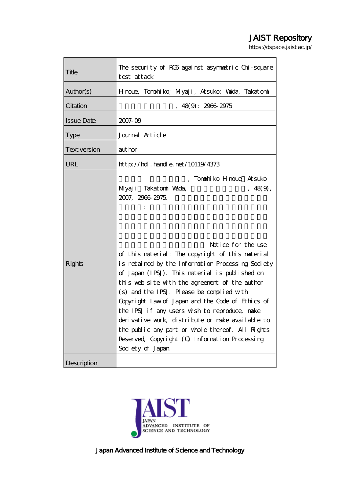# JAIST Repository

https://dspace.jaist.ac.jp/

| Title               | The security of RC6 against asymmetric Chi-square<br>test attack                                                                                                                                                                                                                                                                                                                                                                                                                                                                                                             |
|---------------------|------------------------------------------------------------------------------------------------------------------------------------------------------------------------------------------------------------------------------------------------------------------------------------------------------------------------------------------------------------------------------------------------------------------------------------------------------------------------------------------------------------------------------------------------------------------------------|
| Author(s)           | Hnoue, Tonohiko; Miyaji, Atsuko; Wada, Takatonini                                                                                                                                                                                                                                                                                                                                                                                                                                                                                                                            |
| Citation            | 48(9): 2966 2975                                                                                                                                                                                                                                                                                                                                                                                                                                                                                                                                                             |
| <b>Issue Date</b>   | 2007-09                                                                                                                                                                                                                                                                                                                                                                                                                                                                                                                                                                      |
| <b>Type</b>         | Journal Article                                                                                                                                                                                                                                                                                                                                                                                                                                                                                                                                                              |
| <b>Text version</b> | author                                                                                                                                                                                                                                                                                                                                                                                                                                                                                                                                                                       |
| URL                 | $http$ // $rdl$ . handle. net/10119/4373                                                                                                                                                                                                                                                                                                                                                                                                                                                                                                                                     |
| Rights              | Tonohiko Hnoue Atsuko<br>Milyaji Takatoni Wada,<br>, 48(9),<br>2007, 2966 2975.<br>Notice for the use<br>of this material: The copyright of this material<br>is retained by the Information Processing Society<br>of Japan (IPSJ). This material is published on<br>this web site with the agreement of the author<br>(s) and the IPSJ. Please be complied with<br>Copyright Law of Japan and the Code of Ethics of<br>the IPSJ if any users wish to reproduce, nake<br>derivative work, distribute or make available to<br>the public any part or whole thereof. All Rights |
|                     | Reserved, Copyright (O Information Processing<br>Society of Japan                                                                                                                                                                                                                                                                                                                                                                                                                                                                                                            |
| Description         |                                                                                                                                                                                                                                                                                                                                                                                                                                                                                                                                                                              |

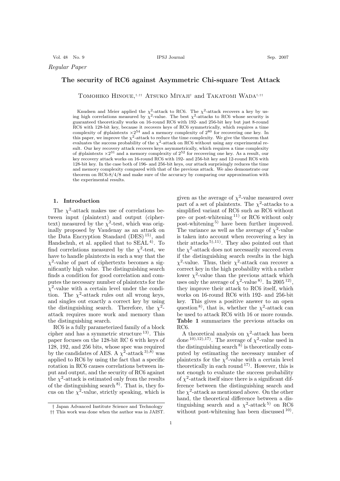Vol. 48 No. 9 IPSJ Journal Sep. 2007

*Regular Paper*

# **The security of RC6 against Asymmetric Chi-square Test Attack**

Tomohiko Hinoue,†*,*†† Atsuko Miyaji† and Takatomi Wada†*,*††

Knudsen and Meier applied the  $\chi^2$ -attack to RC6. The  $\chi^2$ -attack recovers a key by using high correlations measured by  $\chi^2$ -value. The best  $\chi^2$ -attacks to RC6 whose security is guaranteed theoretically works on 16-round RC6 with 192- and 256-bit key but just 8-round RC6 with 128-bit key, because it recovers keys of RC6 symmetrically, which requires a time complexity of #plaintexts  $\times 2^{54}$  and a memory complexity of  $2^{80}$  for recovering one key. In this paper, we improve the  $\chi^2$ -attack to reduce the time complexity. We give the theorem that evaluates the success probability of the  $\chi^2$ -attack on RC6 without using any experimental result. Our key recovery attack recovers keys asymmetrically, which requires a time complexity of #plaintexts  $\times 2^{31}$  and a memory complexity of  $2^{52}$  for recovering one key. As a result, our key recovery attack works on 16-round RC6 with 192- and 256-bit key and 12-round RC6 with 128-bit key. In the case both of 196- and 256-bit keys, our attack surprisingly reduces the time and memory complexity compared with that of the previous attack. We also demonstrate our theorem on RC6-8/4/8 and make sure of the accuracy by comparing our approximation with the experimental results.

#### **1. Introduction**

The  $\chi^2$ -attack makes use of correlations between input (plaintext) and output (ciphertext) measured by the  $\chi^2$ -test, which was originally proposed by Vaudenay as an attack on the Data Encryption Standard (DES)<sup>15)</sup>, and Handschuh, et al. applied that to SEAL 4). To find correlations measured by the  $\chi^2$ -test, we have to handle plaintexts in such a way that the  $\chi^2$ -value of part of ciphertexts becomes a significantly high value. The distinguishing search finds a condition for good correlation and computes the necessary number of plaintexts for the  $\chi^2$ -value with a certain level under the condition. The  $\chi^2$ -attack rules out all wrong keys, and singles out exactly a correct key by using the distinguishing search. Therefore, the  $\chi^2$ attack requires more work and memory than the distinguishing search.

RC6 is a fully parameterized family of a block cipher and has a symmetric structure 13). This paper focuses on the 128-bit RC 6 with keys of 128, 192, and 256 bits, whose spec was required by the candidates of AES. A  $\chi^2$ -attack <sup>3),8)</sup> was applied to RC6 by using the fact that a specific rotation in RC6 causes correlations between input and output, and the security of RC6 against the  $\chi^2$ -attack is estimated only from the results of the distinguishing search  $8$ ). That is, they focus on the  $\chi^2$ -value, strictly speaking, which is

given as the average of  $\chi^2$ -value measured over part of a set of plaintexts. The  $\chi^2$ -attacks to a simplified variant of RC6 such as RC6 without pre- or post-whitening 11) or RC6 without only post-whitening 5) have been further improved. The variance as well as the average of  $\chi^2$ -value is taken into account when recovering a key in their attacks<sup>5),11)</sup>. They also pointed out that the  $\chi^2$ -attack does not necessarily succeed even if the distinguishing search results in the high  $\chi^2$ -value. Thus, their  $\chi^2$ -attack can recover a correct key in the high probability with a rather lower  $\chi^2$ -value than the previous attack which uses only the average of  $\chi^2$ -value <sup>8)</sup>. In 2005<sup>12</sup>, they improve their attack to RC6 itself, which works on 16-round RC6 with 192- and 256-bit key. This gives a positive answer to an open question<sup>8)</sup>, that is, whether the  $\chi^2$ -attack can be used to attack RC6 with 16 or more rounds. **Table 1** summarizes the previous attacks on RC6.

A theoretical analysis on  $\chi^2$ -attack has been done <sup>10</sup>,<sup>12</sup>,<sup>17</sup>. The average of  $\chi^2$ -value used in the distinguishing search  $8$ ) is theoretically computed by estimating the necessary number of plaintexts for the  $\chi^2$ -value with a certain level theoretically in each round  $17$ ). However, this is not enough to evaluate the success probability of  $\chi^2$ -attack itself since there is a significant difference between the distinguishing search and the  $\chi^2$ -attack as mentioned above. On the other hand, the theoretical difference between a distinguishing search and a  $\chi^2$ -attack<sup>5)</sup> on RC6 without post-whitening has been discussed  $^{10}$ .

<sup>†</sup> Japan Advanced Institute Science and Technology

<sup>††</sup> This work was done when the author was in JAIST.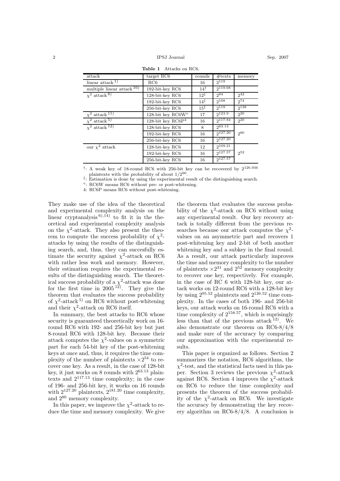| attack                                 | target RC6                                        | rounds          | $\#\text{texts}$ | memory    |
|----------------------------------------|---------------------------------------------------|-----------------|------------------|-----------|
| linear attack $1$ )                    | RC6                                               | 16              | $2^{119}$        |           |
| multiple linear attack $\frac{16}{16}$ | 192-bit-key RC6                                   | $14^{\dagger}$  | $2^{119.68}$     |           |
| $\chi^2$ attack $\overline{8}$ )       | 128-bit-key RC6                                   | $12^{\ddagger}$ | 294              | $2^{42}$  |
|                                        | 192-bit-key RC6                                   | $14^{\ddagger}$ | $2^{108}$        | $2^{74}$  |
|                                        | 256-bit-key RC6                                   | $15^{\ddagger}$ | 2119             | $2^{138}$ |
| $\chi^2$ attack $\overline{11)}$       | 128-bit key RC6W <sup><math>\diamond</math></sup> | 17              | $2^{123.9}$      | $2^{20}$  |
| $\chi^2$ attack $\overline{5}$         | 128-bit key RC6 $P4$                              | 16              | $2^{117.84}$     | $2^{20}$  |
| $\chi^2$ attack <sup>12</sup> )        | 128-bit-key RC6                                   | 8               | 263.13           |           |
|                                        | 192-bit-key RC6                                   | 16              | $2^{127.20}$     | 280       |
|                                        | 256-bit-key RC6                                   | 16              | $2^{127.20}$     |           |
| our $\chi^2$ attack                    | 128-bit-key RC6                                   | 12              | 2109.21          |           |
|                                        | 192-bit-key RC6                                   | 16              | $2^{127.57}$     | 252       |
|                                        | 256-bit-key RC6                                   | 16              | $2^{127.57}$     |           |

**Table 1** Attacks on RC6.

<sup>†</sup>: A weak key of 18-round RC6 with 256-bit key can be recovered by  $2^{126.936}$ plaintexts with the probability of about  $1/2^{90}$ .

<sup>‡</sup>: Estimation is done by using the experimental result of the distinguishing search.

-: RC6W means RC6 without pre- or post-whitening.

4: RC6P means RC6 without post-whitening.

They make use of the idea of the theoretical and experimental complexity analysis on the linear cryptanalysis  $^{6}$ ,  $^{14}$  to fit it in the theoretical and experimental complexity analysis on the  $\chi^2$ -attack. They also present the theorem to compute the success probability of  $\chi^2$ attacks by using the results of the distinguishing search, and, thus, they can succesfully estimate the security against  $\chi^2$ -attack on RC6 with rather less work and memory. However, their estimation requires the experimental results of the distinguishing search. The theoretical success probability of a  $\chi^2$ -attack was done for the first time in  $2005^{12}$ . They give the theorem that evaluates the success probability of  $\chi^2$ -attack<sup>5)</sup> on RC6 without post-whitening and their  $\chi^2$ -attack on RC6 itself.

In summary, the best attacks to RC6 whose security is guaranteed theoretically work on 16 round RC6 with 192- and 256-bit key but just 8-round RC6 with 128-bit key. Because their attack computes the  $\chi^2$ -values on a symmetric part for each 54-bit key of the post-whitening keys at once and, thus, it requires the time complexity of the number of plaintexts  $\times 2^{54}$  to recover one key. As a result, in the case of 128-bit key, it just works on 8 rounds with 263.<sup>13</sup> plaintexts and 2117.<sup>13</sup> time complexity; in the case of 196- and 256-bit key, it works on 16 rounds with  $2^{127.20}$  plaintexts,  $2^{181.20}$  time complexity, and 2<sup>80</sup> memory complexity.

In this paper, we improve the  $\chi^2$ -attack to reduce the time and memory complexity. We give

the theorem that evaluates the success probability of the  $\chi^2$ -attack on RC6 without using any experimental result. Our key recovery attack is totally different from the previous researches because our attack computes the  $\chi^2$ values on an asymmetric part and recovers 1 post-whitening key and 2-bit of both another whitening key and a subkey in the final round. As a result, our attack particularly improves the time and memory complexity to the number of plaintexts  $\times 2^{31}$  and  $2^{52}$  memory complexity to recover one key, respectively. For example, in the case of RC 6 with 128-bit key, our attack works on 12-round RC6 with a 128-bit key by using  $2^{95.52}$  plaintexts and  $2^{126.52}$  time complexity. In the cases of both 196- and 256-bit keys, our attack works on 16-round RC6 with a time complexity of  $2^{158.57}$ , which is suprisingly less than that of the previous attack  $^{12}$ . We also demonstrate our theorem on RC6-8/4/8 and make sure of the accuracy by comparing our approximation with the experimental results.

This paper is organized as follows. Section 2 summarizes the notation, RC6 algorithms, the  $\chi^2$ -test, and the statistical facts used in this paper. Section 3 reviews the previous  $\chi^2$ -attack against RC6. Section 4 improves the  $\chi^2$ -attack on RC6 to reduce the time complexity and presents the theorem of the success probability of the  $\chi^2$ -attack on RC6. We investigate the accuracy by demonstrating the key recovery algorithm on RC6-8/4/8. A conclusion is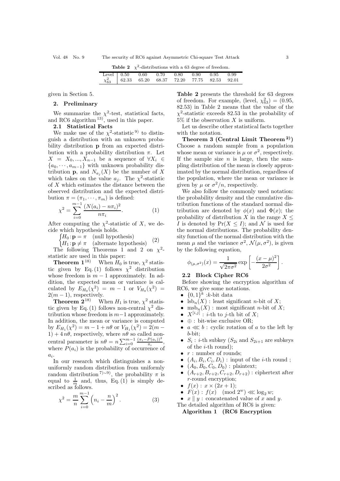|  | <b>Table 2</b> $\chi^2$ -distributions with a 63 degree of freedom.                                 |  |  |  |
|--|-----------------------------------------------------------------------------------------------------|--|--|--|
|  | Level 0.50 0.60 0.70 0.80 0.90 0.95 0.99<br>$\chi_{63}^2$ 62.33 65.20 68.37 72.20 77.75 82.53 92.01 |  |  |  |

given in Section 5.

# **2. Preliminary**

We summarize the  $\chi^2$ -test, statistical facts, and RC6 algorithm  $^{13}$ , used in this paper.

# **2.1 Statistical Facts**

We make use of the  $\chi^2$ -statistic <sup>9)</sup> to distinguish a distribution with an unknown probability distribution **p** from an expected distribution with a probability distribution  $\pi$ . Let  $X = X_0, ..., X_{n-1}$  be a sequence of  $\forall X_i \in$ {a0, ··· , am*−*1} with unknown probability distribution **p**, and  $N_{a_i}(X)$  be the number of X which takes on the value  $a_i$ . The  $\chi^2$ -statistic of X which estimates the distance between the observed distribution and the expected distribution  $\pi = (\pi_1, \cdots, \pi_m)$  is defined:

$$
\chi^2 = \sum_{i=0}^{m-1} \frac{(N(a_i) - n\pi_i)^2}{n\pi_i}.
$$
 (1)

After computing the  $\chi^2$ -statistic of X, we decide which hypothesis holds.

 $\int H_0: \mathbf{p} = \pi$  (null hypothesis)

 $H_1: \mathbf{p} \neq \pi$  (alternate hypothesis) (2)

The following Theorems 1 and 2 on  $\chi^2$ statistic are used in this paper:

**Theorem 1**<sup>18)</sup> When  $H_0$  is true,  $\chi^2$  statistic given by Eq. (1) follows  $\chi^2$  distribution whose freedom is  $m-1$  approximately. In addition, the expected mean or variance is calculated by  $E_{H_0}(\chi^2) = m - 1$  or  $V_{H_0}(\chi^2) =$  $2(m-1)$ , respectively.

**Theorem 2**<sup>18)</sup> When  $H_1$  is true,  $\chi^2$  statistic given by Eq. (1) follows non-central  $\chi^2$  distribution whose freedom is  $m-1$  approximately. In addition, the mean or variance is computed by  $E_{H_1}(\chi^2) = m - 1 + n\theta$  or  $V_{H_1}(\chi^2) = 2(m 1) + 4 n\theta$ , respectively, where  $n\theta$  so called noncentral parameter is  $n\theta = n \sum_{i=0}^{m-1} \frac{(\pi_i - P(a_i))^2}{\pi_i},$ where  $P(a_i)$  is the probability of occurrence of  $a_i$ .

In our research which distinguishes a nonuniformly random distribution from uniformly random distribution<sup>7)∼9)</sup>, the probability  $\pi$  is equal to  $\frac{1}{m}$  and, thus, Eq. (1) is simply described as follows.

$$
\chi^2 = \frac{m}{n} \sum_{i=0}^{m-1} \left( n_i - \frac{n}{m} \right)^2.
$$
 (3)

**Table 2** presents the threshold for 63 degrees of freedom. For example, (level,  $\chi_{63}^2$ ) = (0.95, 82.53) in Table 2 means that the value of the  $\chi^2$ -statistic exceeds 82.53 in the probability of  $5\%$  if the observation X is uniform.

Let us describe other statistical facts together with the notation.

**Theorem 3 (Central Limit Theorem 2))** Choose a random sample from a population whose mean or variance is  $\mu$  or  $\sigma^2$ , respectively. If the sample size  $n$  is large, then the sampling distribution of the mean is closely approximated by the normal distribution, regardless of the population, where the mean or variance is given by  $\mu$  or  $\sigma^2/n$ , respectively.

We also follow the commonly used notation: the probability density and the cumulative distribution functions of the standard normal distribution are denoted by  $\phi(x)$  and  $\Phi(x)$ ; the probability of distribution X in the range  $X \leq$ I is denoted by  $Pr(X \leq I)$ ; and N is used for the normal distributions. The probability density function of the normal distribution with the mean  $\mu$  and the variance  $\sigma^2$ ,  $\mathcal{N}(\mu, \sigma^2)$ , is given by the following equation,

$$
\phi_{(\mu,\sigma^2)}(x) = \frac{1}{\sqrt{2\pi\sigma^2}} \exp\left[-\frac{(x-\mu)^2}{2\sigma^2}\right]
$$

#### **2.2 Block Cipher RC6**

Before showing the encryption algorithm of RC6, we give some notations.

- $\{0,1\}^k$  :*k*-bit data
- $l_{\text{sb}_n}(X)$ : least significant *n*-bit of X;
- msb<sub>n</sub> $(X)$ : most significant *n*-bit of X;
- $X^{[i,j]}$ : *i*-th to *j*-th bit of X;
- ⊕ : bit-wise exclusive OR;
- $a \ll b$ : cyclic rotation of a to the left by b-bit;
- $S_i$ : *i*-th subkey  $(S_{2i}$  and  $S_{2i+1}$  are subkeys of the  $i$ -th round);
- $r:$  number of rounds;
- $(A_i, B_i, C_i, D_i)$ : input of the *i*-th round;
- $(A_0, B_0, C_0, D_0)$ : plaintext;
- $(A_{r+2}, B_{r+2}, C_{r+2}, D_{r+2})$ : ciphertext after r-round encryption;
- $f(x): x \times (2x+1);$
- $F(x)$ :  $f(x)$  (mod  $2^w$ )  $\ll$  log<sub>2</sub> w;
- $x \parallel y$ : concatenated value of x and y.

The detailed algorithm of RC6 is given:

**Algorithm 1 (RC6 Encryption**

.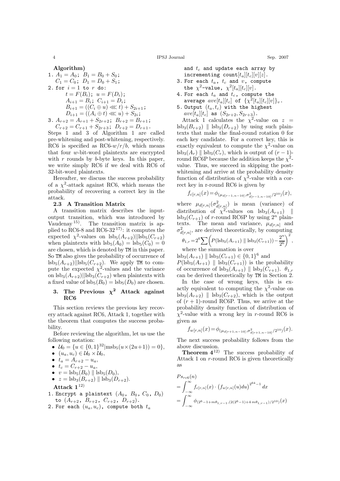$$
Algorithm)
$$

1. 
$$
A_1 = A_0
$$
;  $B_1 = B_0 + S_0$ ;  
\n $C_1 = C_0$ ;  $D_1 = D_0 + S_1$ ;  
\n2. for  $i = 1$  to  $r$  do:  
\n $t = F(B_i)$ ;  $u = F(D_i)$ ;  
\n $A_{i+1} = B_i$ ;  $C_{i+1} = D_i$ ;  
\n $B_{i+1} = ((C_i \oplus u) \lll t) + S_{2i+1}$ ;  
\n $D_{i+1} = ((A_i \oplus t) \lll u) + S_{2i}$ ;  
\n3.  $A_{r+2} = A_{r+1} + S_{2r+2}$ ;  $B_{r+2} = B_{r+1}$ ;

$$
C_{r+2} = C_{r+1} + S_{2r+3}; \ D_{r+2} = D_{r+1}.
$$

Steps 1 and 3 of Algorithm 1 are called pre-whitening and post-whitening, respectively. RC6 is specified as RC6- $w/r/b$ , which means that four w-bit-word plaintexts are encrypted with  $r$  rounds by  $b$ -byte keys. In this paper, we write simply RC6 if we deal with RC6 of 32-bit-word plaintexts.

Hereafter, we discuss the success probability of a  $\chi^2$ -attack against RC6, which means the probability of recovering a correct key in the attack.

## **2.3 A Transition Matrix**

A transition matrix describes the inputoutput transition, which was introduced by Vaudenay 15). The transition matrix is applied to RC6-8 and RC6-32 17): it computes the expected  $\chi^2$ -values on lsb<sub>5</sub> $(A_{r+2})$ ||lsb<sub>5</sub> $(C_{r+2})$ when plaintexts with  $\text{lsb}_5(A_0) = \text{lsb}_5(C_0)=0$ are chosen, which is denoted by TM in this paper. So TM also gives the probability of occurrence of  $\text{lsb}_5(A_{r+2})$ || $\text{lsb}_5(C_{r+2})$ . We apply TM to compute the expected  $\chi^2$ -values and the variance on  $\text{lsb}_3(A_{r+2})||\text{lsb}_3(C_{r+2})$  when plaintexts with a fixed value of  $\text{lsb}_5(B_0) = \text{lsb}_5(D_0)$  are chosen.

# **3.** The Previous  $\chi^2$  Attack against **RC6**

This section reviews the previous key recovery attack against RC6, Attack 1, together with the theorem that computes the success probability.

Before reviewing the algorithm, let us use the following notation:

- $\mathcal{U}_0 = \{u \in \{0, 1\}^{32} | \text{msb}_5(u \times (2u+1)) = 0\},\$
- $(u_a, u_c) \in \mathcal{U}_0 \times \mathcal{U}_0$ ,
- $t_a = A_{r+2} u_a$ ,
- $t_c = C_{r+2} u_a$ ,
- $v = \text{lsb}_5(B_0) \parallel \text{lsb}_5(D_0),$
- $z = \text{lsb}_{3}(B_{r+2}) \parallel \text{lsb}_{3}(D_{r+2}).$

**Attack 1**12)

- 1. Encrypt a plaintext  $(A_0, B_0, C_0, D_0)$ to  $(A_{r+2}, B_{r+2}, C_{r+2}, D_{r+2}).$
- 2. For each  $(u_a, u_c)$ , compute both  $t_a$

and  $t_c$  and update each array by incrementing count $[t_a][t_c][v][z]$ .

- 3. For each  $t_a$ ,  $t_c$  and  $v$ , compute the  $\chi^2$ -value,  $\chi^2[t_a][t_c][v]$ .
- 4. For each  $t_a$  and  $t_c$ , compute the average  $ave[t_a][t_c]$  of  $\{\chi^2[t_a][t_c][v]\}_v$ .
- 5. Output  $(t_a, t_c)$  with the highest  $ave[t_a][t_c]$  as  $(S_{2r+2}, S_{2r+3})$ .

Attack 1 calculates the  $\chi^2$ -value on  $z =$  $\text{lsb}_3(B_{r+2})$  ||  $\text{lsb}_3(D_{r+2})$  by using such plaintexts that make the final-round rotation 0 for each key candidate. For a correct key, this is exactly equivalent to compute the  $\chi^2$ -value on  $\text{lsb}_3(A_r)$  ||  $\text{lsb}_3(C_r)$ , which is output of  $(r-1)$ round RC6P because the addition keeps the  $\chi^2$ value. Thus, we succeed in skipping the postwhitening and arrive at the probability density function of distribution of  $\chi^2$ -value with a correct key in r-round RC6 is given by

$$
f_{c[r,n]}(x) = \phi_{(\mu_{d[r-1,n-10]},\sigma^2_{d[r-1,n-10]}/2^{10})}(x),
$$

where  $\mu_{d[r,n]}(\sigma^2_{d[r,n]})$  is mean (variance) of distribution of  $\chi^2$ -values on lsb<sub>3</sub> $(A_{r+1})$  ||  $\text{lsb}_3(C_{r+1})$  of r-round RC6P by using  $2^n$  plaintexts. The mean and variance,  $\mu_{d[r,n]}$  and  $\sigma_{d[r,n]}^2$ , are derived theoretically, by computing  $\sigma_{d[r,n]}^2$  $\sqrt{ }$  $\overline{ }$ 

$$
\theta_{1,r} = 2^6 \sum \left( P(\text{lsb}_3(A_{r+1}) \parallel \text{lsb}_3(C_{r+1})) - \frac{2^n}{2^6} \right)^2,
$$
  
where the summation is over

 $\text{lsb}_3(A_{r+1}) \parallel \text{lsb}_3(C_{r+1}) \in \{0,1\}^6$  and  $P(\text{lsb}_3(A_{r+1}) \parallel \text{lsb}_3(C_{r+1}))$  is the probability of occurrence of  $\text{lsb}_3(A_{r+1}) \parallel \text{lsb}_3(C_{r+1})$ .  $\theta_{1,r}$ can be derived theoretically by TM in Section 2.

In the case of wrong keys, this is exactly equivalent to computing the  $\chi^2$ -value on  $\text{lsb}_3(A_{r+2})$  |  $\text{lsb}_3(C_{r+2})$ , which is the output of  $(r + 1)$ -round RC6P. Thus, we arrive at the probability density function of distribution of  $\chi^2$ -value with a wrong key in r-round RC6 is given as

$$
f_{w[r,n]}(x) = \phi_{(\mu_{d[r+1,n-10]},\sigma^2_{d[r+1,n-10]}/2^{10})}(x).
$$

The next success probability follows from the above discussion.

**Theorem 4**<sup>12)</sup> The success probability of Attack 1 on r-round RC6 is given theoretically as

$$
P s_{rc6}(n)
$$
  
=  $\int_{-\infty}^{\infty} f_{c[r,n]}(x) \cdot (f_{w[r,n]}(u) du)^{2^{64}-1} dx$   
=  $\int_{-\infty}^{\infty} \phi_{(2^6-1+m\theta_{1,r-1}, (2(2^6-1)+4m\theta_{1,r-1})/2^{10})}(x)$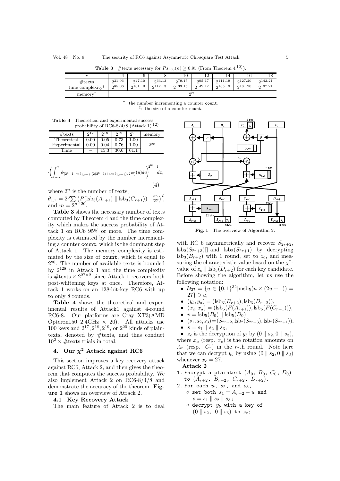**Table 3** #texts necessary for  $Ps_{rc6}(n) \ge 0.95$  (From Theorem 4<sup>12)</sup>).

|                                                  |                   |                    |                    | 10                 | റ<br>⊥∠            | 14                  | 16                  |                     |
|--------------------------------------------------|-------------------|--------------------|--------------------|--------------------|--------------------|---------------------|---------------------|---------------------|
| $\#\text{texts}$<br>time complexity <sup>1</sup> | 231.06<br>0.85.06 | 247.10<br>0.101.10 | 263.13<br>0.117.13 | 279.15<br>0.133.15 | 295.17<br>0.149.17 | 2111.19<br>0.165.19 | 2127.20<br>0.181.20 | 2143.21<br>0.197.21 |
| memory <sup>+</sup>                              | 280               |                    |                    |                    |                    |                     |                     |                     |

†: the number incrementing a counter count. ‡: the size of a counter count.

**Table 4** Theoretical and experimental success probability of RC6-8/4/8 (Attack 1)<sup>12</sup>).

| $\#\text{texts}$ | 217      | 218  | 219  | 20   | memory |
|------------------|----------|------|------|------|--------|
| Theoretical      | $0.00\,$ | 0.05 | 0.73 | 1.00 |        |
| Experimental     | 0.00     | 0.04 | 0.76 | 1.00 | າ28    |
| 'ime             |          | 15.3 | 30.6 |      |        |

$$
\cdot \left( \int_{-\infty}^{x} \phi_{(2^6 - 1 + m\theta_{1,r+1}, (2(2^6 - 1) + 4 m\theta_{1,r+1})/2^{10})}(u) du \right)^{2^{64} - 1} dx,
$$
\n(4)

where  $2^n$  is the number of texts,  $\theta_{1,r} = 2^6 \sum \left( P_{\text{old}}(s) (A_{r+1}) \parallel \text{lsb}_3(C_{r+1})) - \frac{2^n}{2^6} \right)^2,$ and  $m = 2^{n-20}$ .

**Table 3** shows the necessary number of texts computed by Theorem 4 and the time complexity which makes the success probability of Attack 1 on RC6 95% or more. The time complexity is estimated by the number incrementing a counter count, which is the dominant step of Attack 1. The memory complexity is estimated by the size of count, which is equal to 280. The number of available texts is bounded by  $2^{128}$  in Attack 1 and the time complexity is  $\#$ texts  $\times 2^{27\times2}$  since Attack 1 recovers both post-whitening keys at once. Therefore, Attack 1 works on an 128-bit-key RC6 with up to only 8 rounds.

**Table 4** shows the theoretical and experimental results of Attack1 against 4-round RC6-8. Our platforms are Cray XT3(AMD Opteron150 2.4GHz  $\times$  20). All attacks use  $100 \text{ keys and } 2^{17}, 2^{18}, 2^{19}, \text{ or } 2^{20} \text{ kinds of plain-}$ texts, denoted by #texts, and thus conduct  $10^2 \times \text{\#textexts trials in total.}$ 

# **4.** Our  $\chi^2$  Attack against RC6

This section improves a key recovery attack against RC6, Attack 2, and then gives the theorem that computes the success probability. We also implement Attack 2 on RC6-8/4/8 and demonstrate the accuracy of the theorem. **Figure 1** shows an overview of Atrack 2.

#### **4.1 Key Recovery Attack**

The main feature of Attack 2 is to deal



Fig. 1 The overview of Algorithm 2.

with RC 6 asymmetrically and recover  $S_{2r+2}$ ,  $\text{lsb}_2(S_{2r+3})$  and  $\text{lsb}_2(S_{2r+1})$  by decrypting  $\text{lsb}_3(B_{r+2})$  with 1 round, set to  $z_c$ , and measuring the characteristic value based on the  $\chi^2$ value of  $z_c \parallel \text{lsb}_3(D_{r+2})$  for each key candidate. Before showing the algorithm, let us use the following notation:

- $u_{27} = \{u \in \{0,1\}^{32} | \text{msb}_5(u \times (2u + 1)) =$  $27\} \ni u,$
- $(y_b, y_d) = (\text{lsb}_3(B_{r+2}), \text{lsb}_3(D_{r+2})),$
- $(x_c, x_a) = (\text{lsb}_5(F(A_{r+1})), \text{lsb}_5(F(C_{r+1}))),$
- $v = \text{lsb}_5(B_0) \parallel \text{lsb}_5(D_0)$
- $(s_1, s_2, s_3) = (S_{2r+2}, \text{lsb}_2(S_{2r+3}), \text{lsb}_2(S_{2r+1})),$
- $s = s_1 \parallel s_2 \parallel s_3,$

•  $z_c$  is the decryption of  $y_b$  by  $(0 \parallel s_2, 0 \parallel s_3)$ , where  $x_a$  (resp.  $x_c$ ) is the rotation amounts on  $A_r$  (resp.  $C_r$ ) in the r-th round. Note here that we can decrypt  $y_b$  by using  $(0 \parallel s_2, 0 \parallel s_3)$ whenever  $x_c = 27$ .

**Attack 2**

- 1. Encrypt a plaintext  $(A_0, B_0, C_0, D_0)$ to  $(A_{r+2}, B_{r+2}, C_{r+2}, D_{r+2})$ .
- 2. For each  $u$ ,  $s_2$ , and  $s_3$ , ○ set both  $s_1 = A_{r+2} - u$  and
	- $s = s_1 \parallel s_2 \parallel s_3;$  $\circ$  decrypt  $y_b$  with a key of  $(0 \| \n\begin{matrix} 0 \\ s_2 \\ s_3 \end{matrix})$   $(0 \| \n\begin{matrix} s_3 \\ s_3 \\ s_4 \end{matrix})$  to  $z_c$ ;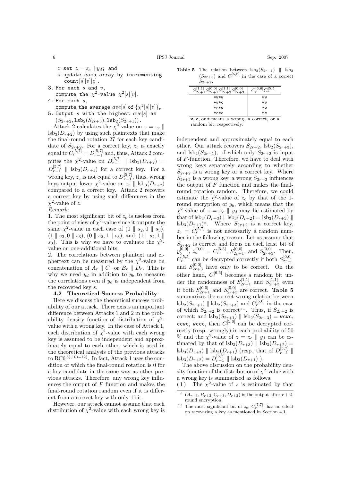6 IPSJ Journal Sep. 2007

- $\circ$  set  $z = z_c \parallel y_d$ ; and ◦ update each array by incrementing  $count[s][v][z]$ .
- 3. For each  $s$  and  $v$ , compute the  $\chi^2$ -value  $\chi^2[s][v]$ .
- 4. For each s,
- compute the average  $ave[s]$  of  $\{\chi^2[s][v]\}_v$ . 5. Output s with the highest  $ave[s]$  as
- $(S_{2r+2}, \mathtt{lsb}_2(S_{2r+3}), \mathtt{lsb}_2(S_{2r+1}))$ .

Attack 2 calculates the  $\chi^2$ -value on  $z = z_c$  $\text{lsb}_3(D_{r+2})$  by using such plaintexts that make the final-round rotation 27 for each key candidate of  $S_{2r+2}$ . For a correct key,  $z_c$  is exactly equal to  $C_r^{[5,7]} = D_{r-1}^{[5,7]}$  and, thus, Attack 2 computes the  $\chi^2$ -value on  $D_{r-1}^{[5,7]}$  || lsb<sub>3</sub> $(D_{r+2})$  =  $D_{r-1}^{[5,7]}$  ||  $\text{lsb}_3(D_{r+1})$  for a correct key. For a wrong key,  $z_c$  is not equal to  $D_{r-1}^{[5,7]}$ , thus, wrong keys output lower  $\chi^2$ -value on  $z_c \parallel \text{lsb}_3(D_{r+2})$ compared to a correct key. Attack 2 recovers a correct key by using such differences in the  $\chi^2$ -value of z.

1. The most significant bit of  $z_c$  is useless from the point of view of  $\chi^2$ -value since it outputs the same  $\chi^2$ -value in each case of  $(0 \parallel s_2, 0 \parallel s_3)$ ,  $(1 \parallel s_2, 0 \parallel s_3), (0 \parallel s_2, 1 \parallel s_3), \text{ and, } (1 \parallel s_2, 1 \parallel s_4)$ s<sub>3</sub>). This is why we have to evaluate the  $\chi^2$ value on one-additional bits.

2. The correlations between plaintext and ciphertext can be measured by the  $\chi^2$ -value on concatenation of  $A_r \parallel C_r$  or  $B_r \parallel D_r$ . This is why we need  $y_d$  in addition to  $y_b$  to measure the correlations even if  $y_d$  is independent from the recovered key s.

# **4.2 Theoretical Success Probability**

Here we discuss the theoretical success probability of our attack. There exists an important difference between Attacks 1 and 2 in the probability density function of distribution of  $\chi^2$ value with a wrong key. In the case of Attack 1, each distribution of  $\chi^2$ -value with each wrong key is assumed to be independent and approximately equal to each other, which is used in the theoretical analysis of the previous attacks to RC6 5),10)∼12). In fact, Attack 1 uses the condition of which the final-round rotation is 0 for a key candidate in the same way as other previous attacks. Therefore, any wrong key influences the output of  $F$  function and makes the final-round rotation random even if it is different from a correct key with only 1 bit.

However, our attack cannot assume that each distribution of  $\chi^2$ -value with each wrong key is

**Table 5** The relation between  $\text{lsb}_2(S_{2r+1})$  ||  $\text{lsb}_2$  $(S_{2r+3})$  and  $C_r^{[5,6]}$  in the case of a correct  $S_{2r+2}.$ 

| $S_{2r+1}^{[1,1]} S_{2r+1}^{[0,0]} S_{2r+3}^{[1,1]} S_{2r+3}^{[0,0]}$ | $C_r^{[6,6]}$ $C_r^{[5,5]}$ |  |  |
|-----------------------------------------------------------------------|-----------------------------|--|--|
| *w*w                                                                  | ∗w                          |  |  |
| *W*C                                                                  | ∗w                          |  |  |
| *C*W                                                                  | ∗w                          |  |  |
| $*c*c$                                                                | *C                          |  |  |
| w, c, or * means a wrong, a correct, or a                             |                             |  |  |

random bit, respectively.

independent and approximately equal to each other. Our attack recovers  $S_{2r+2}$ , lsb<sub>2</sub> $(S_{2r+3})$ , and  $\text{lsb}_2(S_{2r+1})$ , of which only  $S_{2r+2}$  is input of F-function. Therefore, we have to deal with wrong keys separately according to whether  $S_{2r+2}$  is a wrong key or a correct key. Where  $S_{2r+2}$  is a wrong key, a wrong  $S_{2r+2}$  influences the output of  $F$  function and makes the finalround rotation random. Therefore, we could estimate the  $\chi^2$ -value of  $z_c$  by that of the 1round encryption of  $y<sub>b</sub>$ , which means that the  $\chi^2$ -value of  $z = z_c \parallel y_d$  may be estimated by that of  $\text{lsb}_3(D_{r+3})$   $\parallel$   $\text{lsb}_3(D_{r+2}) = \text{lsb}_3(D_{r+3})$   $\parallel$  $\text{lsb}_3(D_{r+1})$ . Where  $S_{2r+2}$  is a correct key,  $z_c = C_r^{[5,7]}$  is not necessarily a random number in the following reason. Let us assume that  $S_{2r+2}$  is correct and focus on each least bit of  $y_{b_{n-1}}^{[0,0]}$ ,  $z_c^{[0,0]} = C_r^{[5,5]}$ ,  $S_{2r+1}^{[0,0]}$ , and  $S_{2r+3}^{[0,0]}$ . Then,  $C_r^{[5,5]}$  can be decrypted correctly if both  $S_{2r+1}^{[0,0]}$ and  $S_{2r+3}^{[0,0]}$  have only to be correct. On the other hand,  $C_r^{[6,6]}$  becomes a random bit under the randomness of  $S_{2r+1}^{[1,1]}$  and  $S_{2r+3}^{[1,1]}$  even if both  $S_{2r+1}^{[0,0]}$  and  $S_{2r+3}^{[0,0]}$  are correct. **Table 5** summarizes the correct-wrong relation between  $\frac{1}{\text{lsb}_2(S_{2r+1})}$  ||  $\text{lsb}_2(S_{2r+3})$  and  $C_r^{[5,6]}$  in the case of which  $S_{2r+2}$  is correct . Thus, if  $S_{2r+2}$  is correct; and  $\text{lsb}_2(S_{2r+1}) \parallel \text{lsb}_2(S_{2r+3}) = \text{wcwc}$ , ccwc, wccc, then  $C_r^{[5,6]}$  can be decrypted correctly (resp. wrongly) in each probability of 50 % and the  $\chi^2$ -value of  $z = z_c || y_d$  can be estimated by that of  $\text{lsb}_3(D_{r+3}) \parallel \text{lsb}_3(D_{r+2})$  =  $\text{lsb}_3(D_{r+3})$  ||  $\text{lsb}_3(D_{r+1})$  (resp. that of  $D_{r-1}^{[5,7]}$  ||  $\text{lsb}_3(D_{r+2}) = D_{r-1}^{[5,7]} \parallel \text{lsb}_3(D_{r+1})$ .

The above discussion on the probability density function of the distribution of  $\chi^2$ -value with a wrong key is summarized as follows. (1) The  $\chi^2$ -value of z is estimated by that

 $(A_{r+3}, B_{r+3}, C_{r+3}, D_{r+3})$  is the output after  $r+2$ round encryption.

The most significant bit of  $z_c$ ,  $C_r^{[7,7]}$ , has no effect on recovering a key as mentioned in Section 4.1.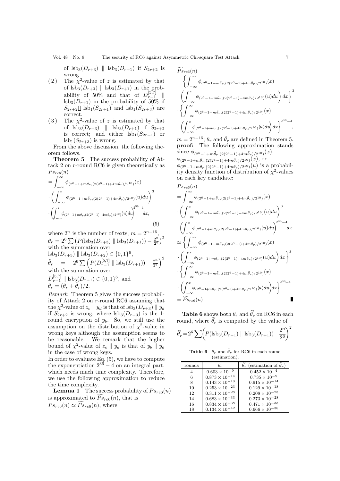of  $\text{lsb}_3(D_{r+3})$  ||  $\text{lsb}_3(D_{r+1})$  if  $S_{2r+2}$  is wrong.

- (2) The  $\chi^2$ -value of z is estimated by that of  $\text{lsb}_3(D_{r+3}) \parallel \text{lsb}_3(D_{r+1})$  in the probability of 50% and that of  $D_{r-1}^{[5,7]}$  $\text{lsb}_3(D_{r+1})$  in the probability of 50% if  $S_{2r+2}$  lsb<sub>1</sub> $(S_{2r+1})$  and lsb<sub>1</sub> $(S_{2r+3})$  are correct.
- (3) The  $\chi^2$ -value of z is estimated by that of  $\text{lsb}_3(D_{r+3})$  ||  $\text{lsb}_3(D_{r+1})$  if  $S_{2r+2}$ is correct; and either  $\text{lsb}_1(S_{2r+1})$  or  $\text{lsb}_1(S_{2r+3})$  is wrong.

From the above discussion, the following theorem follows.<br>Theorem 5

The success probability of Attack 2 on r-round RC6 is given theoretically as  $Ps_{rc6}(n)$  $r \infty$ 

$$
= \int_{-\infty} \phi_{(2^6 - 1 + m\tilde{\theta}_r, (2(2^6 - 1) + 4m\tilde{\theta}_r)/2^{10})}(x)
$$

$$
\cdot \left( \int_{-\infty}^x \phi_{(2^6 - 1 + m\tilde{\theta}_r, (2(2^6 - 1) + 4m\tilde{\theta}_r)/2^{10})}(u) du \right)^3
$$

$$
\cdot \left( \int_{-\infty}^x \phi_{(2^6 - 1 + m\theta_r, (2(2^6 - 1) + 4m\theta_r)/2^{10})}(u) du \right)^{2^{36} - 4} dx,
$$
(5)

where  $2^n$  is the number of texts,  $m = 2^{n-15}$ ,  $\theta_r = 2^6 \sum (P(\text{lsb}_3(D_{r+3}) \parallel \text{lsb}_3(D_{r+1})) - \frac{2^{n \choose 2}}{2^6})^2$ with the summation over  $\text{lsb}_3(D_{r+3}) \parallel \text{lsb}_3(D_{r+2}) \in \{0,1\}^6,$  $\tilde{\theta}_r = 2^6 \sum \left( P(D_{r-1}^{[5,7]} \parallel \text{lsb}_3(D_{r+1})) - \frac{2^n}{2^6} \right)$  $\setminus^2$ with the summation over  $D_{r-1}^{[5,7]}$  ||  $\text{lsb}_3(D_{r+1}) \in \{0,1\}^6$ , and  $\bar{\theta}_r = (\theta_r + \tilde{\theta}_r)/2.$ 

*Remark*: Theorem 5 gives the success probability of Attack 2 on r-round RC6 assuming that the  $\chi^2$ -value of  $z_c \parallel y_d$  is that of lsb<sub>3</sub> $(D_{r+3}) \parallel y_d$ if  $S_{2r+2}$  is wrong, where  $\text{lsb}_3(D_{r+3})$  is the 1round encryption of  $y<sub>b</sub>$ . So, we still use the assumption on the distribution of  $\chi^2$ -value in wrong keys although the assumption seems to be reasonable. We remark that the higher bound of  $\chi^2$ -value of  $z_c \parallel y_d$  is that of  $y_b \parallel y_d$ in the case of wrong keys.

In order to evaluate Eq. (5), we have to compute the exponentiation  $2^{36} - 4$  on an integral part, which needs much time complexity. Therefore, we use the following approximation to reduce the time complexity.

**Lemma 1** The success probability of  $Ps_{rc6}(n)$ is approximated to  $Ps_{rc6}(n)$ , that is  $Ps_{rc6}(n) \simeq Ps_{rc6}(n)$ , where

$$
\widetilde{Ps}_{rc6}(n) = \left\{ \int_{-\infty}^{\infty} \phi_{(2^6 - 1 + m\tilde{\theta}_r, (2(2^6 - 1) + 4m\tilde{\theta}_r)/2^{10})}(x) \right. \\ \left. \left( \int_{-\infty}^{x} \phi_{(2^6 - 1 + m\tilde{\theta}_r, (2(2^6 - 1) + 4m\tilde{\theta}_r)/2^{10})}(u) du \right) dx \right\}^3 \\ \cdot \left\{ \int_{-\infty}^{\infty} \phi_{(2^6 - 1 + m\tilde{\theta}_r, (2(2^6 - 1) + 4m\tilde{\theta}_r)/2^{10})}(x) \right. \\ \left. \left. \left( \int_{-\infty}^{x} \phi_{(2^6 - 1 + m\theta_r, (2(2^6 - 1) + 4m\theta_r)/2^{10})}(u) du \right) dx \right\}^{2^{36} - 4},
$$

 $m = 2^{n-15}$ ;  $\theta_r$  and  $\tilde{\theta}_r$  are defined in Theorem 5. **proof:** The following approximation stands  $\text{since } \phi_{(2^6-1+m\tilde{\theta}_r,(2(2^6-1)+4m\tilde{\theta}_r)/2^{10})}(x),$ 

 $\phi_{(2^6-1+m\bar{\theta}_r,(2(2^6-1)+4m\bar{\theta}_r)/2^{10})}(x)$ , or φ(26*−*1+mθ*r*,(2(26*−*1)+4mθ*r*)/210)(u) is a probability density function of distribution of  $\chi^2$ -values on each key candidate:

$$
\begin{split} &P s_{rc6}(n) \\ &=\int_{-\infty}^{\infty}\phi_{(2^6-1+m\tilde{\theta}_r,(2(2^6-1)+4m\tilde{\theta}_r)/2^{10})}(x)\\ &\cdot\left(\int_{-\infty}^{x}\phi_{(2^6-1+m\tilde{\theta}_r,(2(2^6-1)+4m\tilde{\theta}_r)/2^{10})}(u)du\right)^3\\ &\cdot\left(\int_{-\infty}^{x}\phi_{(2^6-1+m\theta_r,(2(2^6-1)+4m\theta_r)/2^{10})}(u)du\right)^{2^{36}-4}dx\\ &\simeq\left\{\int_{-\infty}^{\infty}\phi_{(2^6-1+m\tilde{\theta}_r,(2(2^6-1)+4m\tilde{\theta}_r)/2^{10})}(x)\\ &\cdot\left(\int_{-\infty}^{x}\phi_{(2^6-1+m\tilde{\theta}_r,(2(2^6-1)+4m\tilde{\theta}_r)/2^{10})}(u)du\right)dx\right\}^3\\ &\cdot\left\{\int_{-\infty}^{\infty}\phi_{(2^6-1+m\tilde{\theta}_r,(2(2^6-1)+4m\tilde{\theta}_r)/2^{10})}(x)\\ &\cdot\left(\int_{-\infty}^{x}\phi_{(2^6-1+m\theta_r,(2(2^6-1)+4m\theta_r)/2^{10})}(u)du\right)dx\right\}^{2^{36}-4}\\ &=\widetilde{P} s_{rc6}(n) \end{split}
$$

**Table 6** shows both  $\theta_r$  and  $\tilde{\theta}'_r$  on RC6 in each round, where  $\tilde{\theta}'_r$  is computed by the value of

$$
\tilde{\theta}'_r = 2^6 \sum \Biggl( P(\text{lsb}_3(D_{r-1}) \parallel \text{lsb}_3(D_{r+1})) - \frac{2^n}{2^6} \Biggr)^2
$$

**Table 6**  $\theta_r$  and  $\tilde{\theta}_r$  for RC6 in each round (estimation).

| rounds | $\theta_r$             | $\theta_r$ (estimation of $\theta_r$ ) |
|--------|------------------------|----------------------------------------|
| 4      | $0.603 \times 10^{-9}$ | $0.452 \times 10^{-4}$                 |
| 6      | $0.873\times10^{-14}$  | $0.735 \times 10^{-9}$                 |
| 8      | $0.143\times10^{-18}$  | $0.915\times10^{-14}$                  |
| 10     | $0.253\times10^{-23}$  | $0.129\times10^{-18}$                  |
| 12     | $0.311\times10^{-28}$  | $0.208\times10^{-23}$                  |
| 14     | $0.683\times10^{-33}$  | $0.273\times10^{-28}$                  |
| 16     | $0.834\times10^{-38}$  | $0.471\times10^{-33}$                  |
| 18     | $0.134\times10^{-42}$  | $0.666 \times 10^{-38}$                |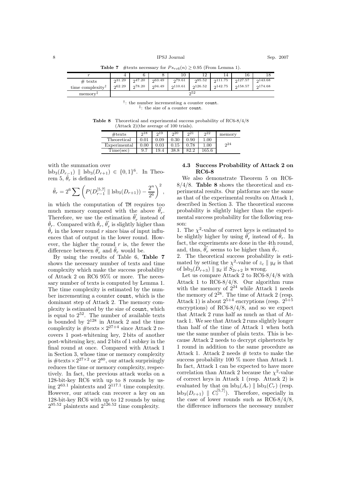**Table 7** #texts necessary for  $Ps_{rc6}(n) \ge 0.95$  (From Lemma 1).

|                              |                  |                   |                   | 10                | റ                  | 14                | 16                  |                    |
|------------------------------|------------------|-------------------|-------------------|-------------------|--------------------|-------------------|---------------------|--------------------|
| $#$ texts                    | 231.29<br>262.29 | 0.47.20<br>278.20 | 0.63.49<br>294.49 | 279.61<br>2110.61 | 0.95.52<br>2126.52 | 211.75<br>2142.75 | 0.127.57<br>2158.57 | 2143.68<br>2174.68 |
| time complexity <sup>1</sup> |                  |                   |                   |                   |                    |                   |                     |                    |
| memory <sup>+</sup>          |                  | 22                |                   |                   |                    |                   |                     |                    |

 $\dagger$ : the number incrementing a counter count. <sup>‡</sup>: the size of a counter count.

**Table 8** Theoretical and experimental success probability of RC6-8/4/8 (Attack 2)(the average of 100 trials).

| $\#\text{texts}$ | 218        | 219        | 20         | 2 <sub>1</sub> | 22        | memory         |
|------------------|------------|------------|------------|----------------|-----------|----------------|
| Theoretical      | $\rm 0.01$ | 0.09       | $\rm 0.30$ | 0.90           | 1.00      |                |
| Experimental     | $0.00\,$   | $\rm 0.03$ | $\rm 0.15$ | 0.78           | $1.00\,$  | 2 <sub>4</sub> |
| Time(sec)        | 9.7        | 19.4       | 38.8       |                | $165.6\,$ |                |

with the summation over

lsb<sub>3</sub>( $D_{r-1}$ ) || lsb<sub>3</sub>( $D_{r+1}$ ) ∈ {0,1}<sup>6</sup>. In Theorem 5,  $\tilde{\theta}_r$  is defined as

$$
\tilde{\theta}_r = 2^6 \sum \left( P(D_{r-1}^{[5,7]} \parallel \text{lsb}_3(D_{r+1})) - \frac{2^n}{2^6} \right)^2,
$$

in which the computation of TM requires too much memory compared with the above  $\tilde{\theta}'_r$ . Therefore, we use the estimation  $\tilde{\theta}'_t$ Therefore, we use the estimation  $\hat{\theta}_r$  instead of  $\tilde{\theta}_r$ . Compared with  $\tilde{\theta}_r$ ,  $\tilde{\theta}'_r$  is slightly higher than  $\tilde{\theta}_r$  in the lower round r since bias of input influences that of output in the lower round. However, the higher the round  $r$  is, the fewer the difference between  $\tilde{\theta}'_r$  and  $\tilde{\theta}_r$  would be.

By using the results of Table 6, **Table 7** shows the necessary number of texts and time complexity which make the success probability of Attack 2 on RC6 95% or more. The necessary number of texts is computed by Lemma 1. The time complexity is estimated by the number incrementing a counter count, which is the dominant step of Attack 2. The memory complexity is estimated by the size of count, which is equal to 252. The number of available texts is bounded by  $2^{128}$  in Attack 2 and the time complexity is  $\#$ texts  $\times 2^{27+4}$  since Attack 2 recovers 1 post-whitening key, 2 bits of another post-whitening key, and 2 bits of 1 subkey in the final round at once. Compared with Attack 1 in Section 3, whose time or memory complexity is #texts  $\times 2^{27\times2}$  or  $2^{80}$ , our attack surprisingly reduces the time or memory complexity, respectively. In fact, the previous attack works on a 128-bit-key RC6 with up to 8 rounds by using  $2^{63.1}$  plaintexts and  $2^{117.1}$  time complexity. However, our attack can recover a key on an 128-bit-key RC6 with up to 12 rounds by using  $2^{95.52}$  plaintexts and  $2^{126.52}$  time complexity.

## **4.3 Success Probability of Attack 2 on RC6-8**

We also demonstrate Theorem 5 on RC6- 8/4/8. **Table 8** shows the theoretical and experimental results. Our platforms are the same as that of the experimental results on Attack 1, described in Section 3. The theoretical success probability is slightly higher than the experimental success probability for the following reason:

1. The  $\chi^2$ -value of correct keys is estimated to be slightly higher by using  $\tilde{\theta}'_r$  instead of  $\tilde{\theta}_r$ . In fact, the experiments are done in the 4th round, and, thus,  $\tilde{\theta}'_r$  seems to be higher than  $\tilde{\theta}_r$ .

2. The theoretical success probability is estimated by setting the  $\chi^2$ -value of  $z_c \parallel y_d$  is that of  $\text{lsb}_3(D_{r+3}) \parallel y_d$  if  $S_{2r+2}$  is wrong.

Let us compare Attack 2 to RC6-8/4/8 with Attack 1 to RC6-8/4/8. Our algorithm runs with the memory of  $2^{24}$  while Attack 1 needs the memory of  $2^{28}$ . The time of Attack 2 (resp. Attack 1) is about  $2^{5+4}$  encryptions (resp.  $2^{5+5}$ encryptions) of RC6-8/4/8, and so we expect that Attack 2 runs half as much as that of Attack 1. We see that Attack 2 runs slightly longer than half of the time of Attack 1 when both use the same number of plain texts. This is because Attack 2 needs to decrypt ciphertexts by 1 round in addition to the same procedure as Attack 1. Attack 2 needs  $#$  texts to make the success probability 100 % more than Attack 1. In fact, Attack 1 can be expected to have more correlation than Attack 2 because the  $\chi^2$ -value of correct keys in Attack 1 (resp. Attack 2) is evaluated by that on  $\text{lsb}_3(A_r)$  ||  $\text{lsb}_3(C_r)$  (resp.  $\text{lsb}_3(D_{r+1}) \parallel C_r^{[5,7]}$ ). Therefore, especially in the case of lower rounds such as RC6-8/4/8, the difference influences the necessary number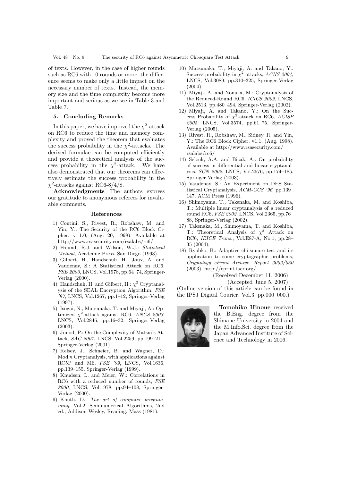of texts. However, in the case of higher rounds such as RC6 with 10 rounds or more, the difference seems to make only a little impact on the necessary number of texts. Instead, the memory size and the time complexity become more important and serious as we see in Table 3 and Table 7.

### **5. Concluding Remarks**

In this paper, we have improved the  $\chi^2$ -attack on RC6 to reduce the time and memory complexity and proved the theorem that evaluates the success probability in the  $\chi^2$ -attacks. The derived formulae can be computed efficiently and provide a theoretical analysis of the success probability in the  $\chi^2$ -attack. We have also demonstrated that our theorems can effectively estimate the success probability in the  $\chi^2$ -attacks against RC6-8/4/8.

**Acknowledgments** The authors express our gratitude to anonymous referees for invaluable comments.

#### **References**

- 1) Contini, S., Rivest, R., Robshaw, M. and Yin, Y.: The Security of the RC6 Block Cipher. v 1.0, (Aug. 20, 1998). Available at http://www.rsasecurity.com/rsalabs/rc6/
- 2) Freund, R.J. and Wilson, W.J.: *Statistical Method*, Academic Press, San Diego (1993).
- 3) Gilbert, H., Handschuh, H., Joux, A. and Vaudenay, S.: A Statistical Attack on RC6, *FSE 2000*, LNCS, Vol.1978, pp.64–74, Springer-Verlag (2000).
- 4) Handschuh, H. and Gilbert, H.:  $\chi^2$  Cryptanalysis of the SEAL Encryption Algorithm, *FSE '97*, LNCS, Vol.1267, pp.1–12, Springer-Verlag (1997).
- 5) Isogai, N., Matsunaka, T. and Miyaji, A.: Optimized  $\chi^2$ -attack against RC6, *ANCS 2003*, LNCS, Vol.2846, pp.16–32, Springer-Verlag (2003).
- 6) Junod, P.: On the Complexity of Matsui's Attack, *SAC 2001*, LNCS, Vol.2259, pp.199–211, Springer-Verlag (2001).
- 7) Kelsey, J., Schneier, B. and Wagner, D.:  $Mod n$  Cryptanalysis, with applications against RC5P and M6, *FSE '99*, LNCS, Vol.1636, pp.139–155, Springer-Verlag (1999).
- 8) Knudsen, L. and Meier, W.: Correlations in RC6 with a reduced number of rounds, *FSE 2000*, LNCS, Vol.1978, pp.94–108, Springer-Verlag (2000).
- 9) Knuth, D.: *The art of computer programming*, Vol.2, Seminumerical Algorithms, 2nd ed., Addison-Wesley, Reading, Mass (1981).
- 10) Matsunaka, T., Miyaji, A. and Takano, Y.: Success probability in  $\chi^2$ -attacks, *ACNS 2004*, LNCS, Vol.3089, pp.310–325, Springer-Verlag  $(2004)$
- 11) Miyaji, A. and Nonaka, M.: Cryptanalysis of the Reduced-Round RC6, *ICICS 2002*, LNCS, Vol.2513, pp.480–494, Springer-Verlag (2002).
- 12) Miyaji, A. and Takano, Y.: On the Success Probability of  $\chi^2$ -attack on RC6, *ACISP 2005*, LNCS, Vol.3574, pp.61–75, Springer-Verlag (2005).
- 13) Rivest, R., Robshaw, M., Sidney, R. and Yin, Y.: The RC6 Block Cipher. v1.1, (Aug. 1998). Available at http://www.rsasecurity.com/ rsalabs/rc6/
- 14) Selcuk, A.A. and Bicak, A.: On probability of success in differential and linear cryptanalysis, *SCN 2002*, LNCS, Vol.2576, pp.174–185, Springer-Verlag (2003).
- 15) Vaudenay, S.: An Experiment on DES Statistical Cryptanalysis, *ACM-CCS '96*, pp.139– 147, ACM Press (1996).
- 16) Shimoyama, T., Takenaka, M. and Koshiba, T.: Multiple linear cryptanalysis of a reduced round RC6, *FSE 2002*, LNCS, Vol.2365, pp.76– 88, Springer-Verlag (2002).
- 17) Takenaka, M., Shimoyama, T. and Koshiba, T.: Theoretical Analysis of  $\chi^2$  Attack on RC6, *IEICE Trans.*, Vol.E87-A, No.1, pp.28– 35 (2004).
- 18) Ryabko, B.: Adaptive chi-square test and its application to some cryptographic problems, *Cryptology ePrint Archive, Report 2002/030* (2003). http://eprint.iacr.org/

(Received December 11, 2006)

(Accepted June 5, 2007)

(Online version of this article can be found in the IPSJ Digital Courier, Vol.3, pp.000–000.)



**Tomohiko Hinoue** received the B.Eng. degree from the Shimane University in 2004 and the M.Info.Sci. degree from the Japan Advanced Institute of Science and Technology in 2006.